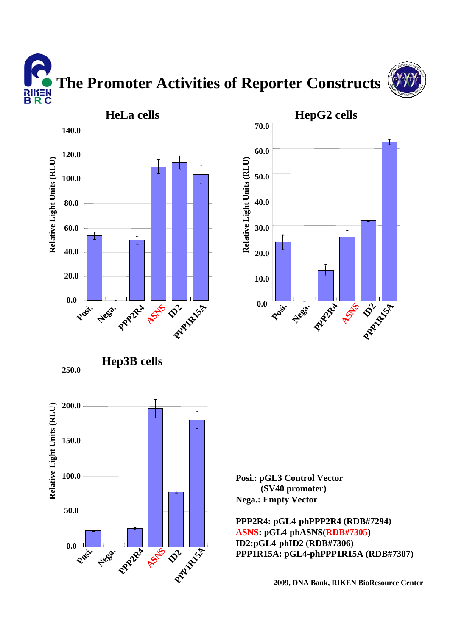**The Promoter Activities of Reporter Constructs** א∃*ו*וא<br>B R C



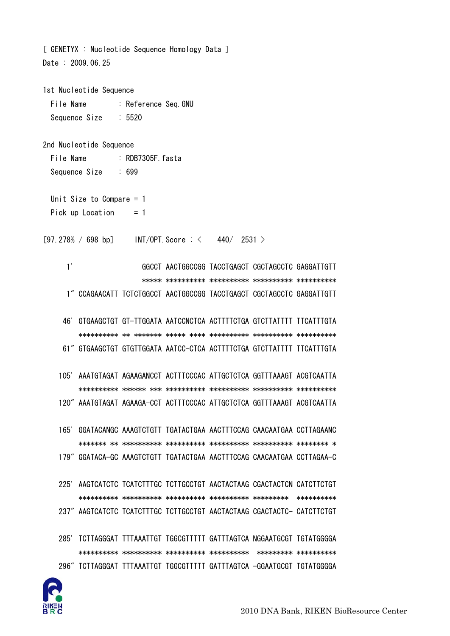

2nd Nucleotide Sequence File Name : RDB7305F. fasta Sequence Size  $\div$  699 Unit Size to Compare  $= 1$ Pick up Location  $= 1$ [97.278% / 698 bp] INT/OPT. Score:  $\langle 440/2531 \rangle$  $1'$ GGCCT AACTGGCCGG TACCTGAGCT CGCTAGCCTC GAGGATTGTT 1" CCAGAACATT TCTCTGGCCT AACTGGCCGG TACCTGAGCT CGCTAGCCTC GAGGATTGTT 46' GTGAAGCTGT GT-TTGGATA AATCCNCTCA ACTTTTCTGA GTCTTATTTT TTCATTTGTA 61" GTGAAGCTGT GTGTTGGATA AATCC-CTCA ACTTTTCTGA GTCTTATTTT TTCATTTGTA 105' AAATGTAGAT AGAAGANCCT ACTTTCCCAC ATTGCTCTCA GGTTTAAAGT ACGTCAATTA 120" AAATGTAGAT AGAAGA-CCT ACTTTCCCAC ATTGCTCTCA GGTTTAAAGT ACGTCAATTA 165' GGATACANGC AAAGTCTGTT TGATACTGAA AACTTTCCAG CAACAATGAA CCTTAGAANC 179" GGATACA-GC AAAGTCTGTT TGATACTGAA AACTTTCCAG CAACAATGAA CCTTAGAA-C 225' AAGTCATCTC TCATCTTTGC TCTTGCCTGT AACTACTAAG CGACTACTCN CATCTTCTGT 237" AAGTCATCTC TCATCTTTGC TCTTGCCTGT AACTACTAAG CGACTACTC- CATCTTCTGT 285' TCTTAGGGAT TTTAAATTGT TGGCGTTTTT GATTTAGTCA NGGAATGCGT TGTATGGGGA 296" TCTTAGGGAT TTTAAATTGT TGGCGTTTTT GATTTAGTCA -GGAATGCGT TGTATGGGGA

[ GENETYX : Nucleotide Sequence Homology Data ] Date: 2009.06.25

 $: 5520$ 

: Reference Sea. GNU

1st Nucleotide Sequence

File Name

Sequence Size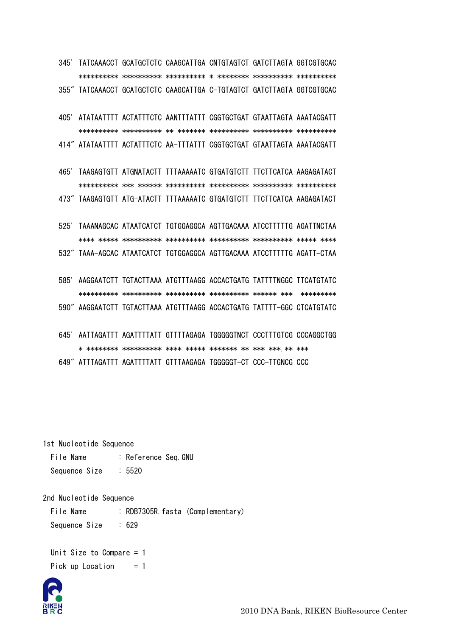345' TATCAAACCT GCATGCTCTC CAAGCATTGA CNTGTAGTCT GATCTTAGTA GGTCGTGCAC 355" TATCAAACCT GCATGCTCTC CAAGCATTGA C-TGTAGTCT GATCTTAGTA GGTCGTGCAC

405' ATATAATTTT ACTATTTCTC AANTTTATTT CGGTGCTGAT GTAATTAGTA AAATACGATT 414" ATATAATTTT ACTATTTCTC AA-TTTATTT CGGTGCTGAT GTAATTAGTA AAATACGATT

465' TAAGAGTGTT ATGNATACTT TTTAAAAATC GTGATGTCTT TTCTTCATCA AAGAGATACT 473" TAAGAGTGTT ATG-ATACTT TTTAAAAATC GTGATGTCTT TTCTTCATCA AAGAGATACT

525' TAAANAGCAC ATAATCATCT TGTGGAGGCA AGTTGACAAA ATCCTTTTTG AGATTNCTAA 532" TAAA-AGCAC ATAATCATCT TGTGGAGGCA AGTTGACAAA ATCCTTTTTG AGATT-CTAA

585' AAGGAATCTT TGTACTTAAA ATGTTTAAGG ACCACTGATG TATTTTNGGC TTCATGTATC 590" AAGGAATCTT TGTACTTAAA ATGTTTAAGG ACCACTGATG TATTTT-GGC CTCATGTATC

645' AATTAGATTT AGATTTTATT GTTTTAGAGA TGGGGGTNCT CCCTTTGTCG CCCAGGCTGG

649" ATTTAGATTT AGATTTTATT GTTTAAGAGA TGGGGGT-CT CCC-TTGNCG CCC

1st Nucleotide Sequence

File Name : Reference Seq.GNU  $: 5520$ Sequence Size

2nd Nucleotide Sequence

File Name : RDB7305R. fasta (Complementary)  $: 629$ Sequence Size

Unit Size to Compare  $= 1$ Pick up Location  $= 1$ 

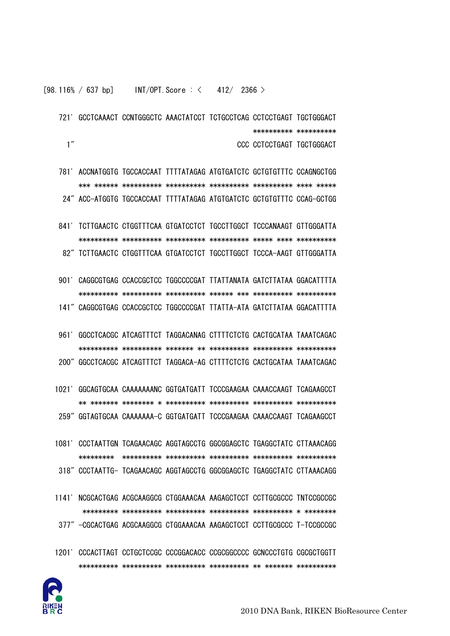721' GCCTCAAACT CCNTGGGCTC AAACTATCCT TCTGCCTCAG CCTCCTGAGT TGCTGGGACT \*\*\*\*\*\*\*\*\*\*\* \*\*\*\*\*\*\*\*\*\*  $1''$ CCC CCTCCTGAGT TGCTGGGACT

781' ACCNATGGTG TGCCACCAAT TTTTATAGAG ATGTGATCTC GCTGTGTTTC CCAGNGCTGG 24" ACC-ATGGTG TGCCACCAAT TTTTATAGAG ATGTGATCTC GCTGTGTTTC CCAG-GCTGG

841' TCTTGAACTC CTGGTTTCAA GTGATCCTCT TGCCTTGGCT TCCCANAAGT GTTGGGATTA 82" TCTTGAACTC CTGGTTTCAA GTGATCCTCT TGCCTTGGCT TCCCA-AAGT GTTGGGATTA

901' CAGGCGTGAG CCACCGCTCC TGGCCCCGAT TTATTANATA GATCTTATAA GGACATTTTA 141" CAGGCGTGAG CCACCGCTCC TGGCCCCGAT TTATTA-ATA GATCTTATAA GGACATTTTA

961' GGCCTCACGC ATCAGTTTCT TAGGACANAG CTTTTCTCTG CACTGCATAA TAAATCAGAC 200" GGCCTCACGC ATCAGTTTCT TAGGACA-AG CTTTTCTCTG CACTGCATAA TAAATCAGAC

1021' GGCAGTGCAA CAAAAAAANC GGTGATGATT TCCCGAAGAA CAAACCAAGT TCAGAAGCCT 259" GGTAGTGCAA CAAAAAAA-C GGTGATGATT TCCCGAAGAA CAAACCAAGT TCAGAAGCCT

- 1081' CCCTAATTGN TCAGAACAGC AGGTAGCCTG GGCGGAGCTC TGAGGCTATC CTTAAACAGG 318" CCCTAATTG- TCAGAACAGC AGGTAGCCTG GGCGGAGCTC TGAGGCTATC CTTAAACAGG
- 1141' NCGCACTGAG ACGCAAGGCG CTGGAAACAA AAGAGCTCCT CCTTGCGCCC TNTCCGCCGC 377" -CGCACTGAG ACGCAAGGCG CTGGAAACAA AAGAGCTCCT CCTTGCGCCC T-TCCGCCGC
- 1201' CCCACTTAGT CCTGCTCCGC CCCGGACACC CCGCGGCCCC GCNCCCTGTG CGCGCTGGTT